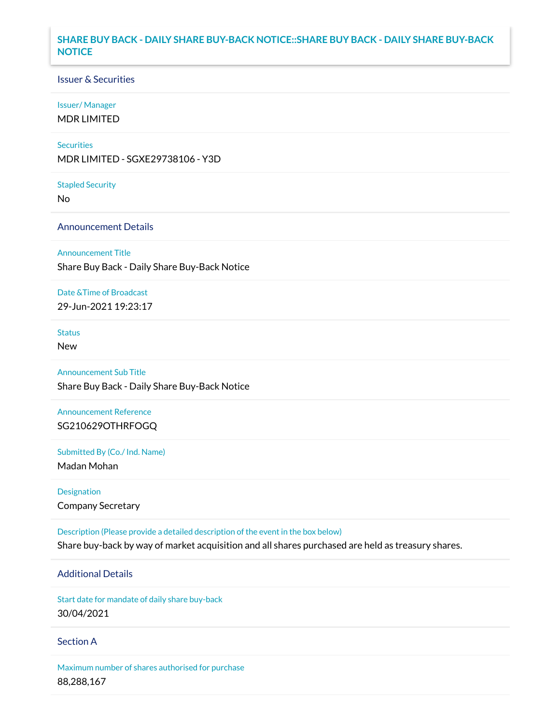## **SHARE BUY BACK - DAILY SHARE BUY-BACK NOTICE::SHARE BUY BACK - DAILY SHARE BUY-BACK NOTICE**

### Issuer & Securities

### Issuer/ Manager

MDR LIMITED

### **Securities**

MDR LIMITED - SGXE29738106 - Y3D

#### Stapled Security

No

## Announcement Details

### Announcement Title

Share Buy Back - Daily Share Buy-Back Notice

## Date &Time of Broadcast

29-Jun-2021 19:23:17

# Status

New

# Announcement Sub Title

Share Buy Back - Daily Share Buy-Back Notice

## Announcement Reference SG210629OTHRFOGQ

Submitted By (Co./ Ind. Name)

Madan Mohan

## Designation Company Secretary

Description (Please provide a detailed description of the event in the box below) Share buy-back by way of market acquisition and all shares purchased are held as treasury shares.

# Additional Details

Start date for mandate of daily share buy-back 30/04/2021

### Section A

Maximum number of shares authorised for purchase 88,288,167